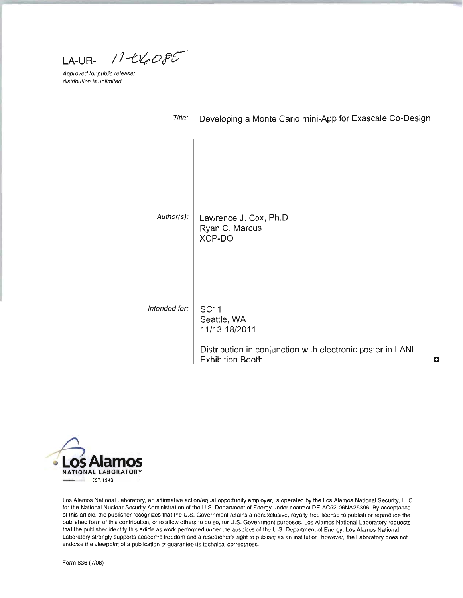$11 - 06085$ **LA-UR-**

Approved for public release; distribution is unlimited.

| Title:        | Developing a Monte Carlo mini-App for Exascale Co-Design                                                              |   |
|---------------|-----------------------------------------------------------------------------------------------------------------------|---|
| Author(s):    | Lawrence J. Cox, Ph.D<br>Ryan C. Marcus                                                                               |   |
| Intended for: | XCP-DO<br><b>SC11</b>                                                                                                 |   |
|               | Seattle, WA<br>11/13-18/2011<br>Distribution in conjunction with electronic poster in LANL<br><b>Exhibition Booth</b> | ÷ |



Los Alamos National Laboratory, an affirmative action/equal opportunity employer, is operated by the Los Alamos National Security, LLC for the National Nuclear Security Administration of the U.S. Department of Energy under contract DE-AC52-06NA25396. By acceptance of this article, the publisher recognizes that the U.S. Government retains a nonexclusive, royalty-free license to publish or reproduce the published form of this contribution, or to allow others to do so, for U.S. Government purposes. Los Alamos National Laboratory requests that the publisher identify this article as work performed under the auspices of the U.S. Department of Energy. Los Alamos National Laboratory strongly supports academic freedom and a researcher's right to publish; as an institution, however, the Laboratory does not endorse the viewpoint of a publication or guarantee its technical correctness.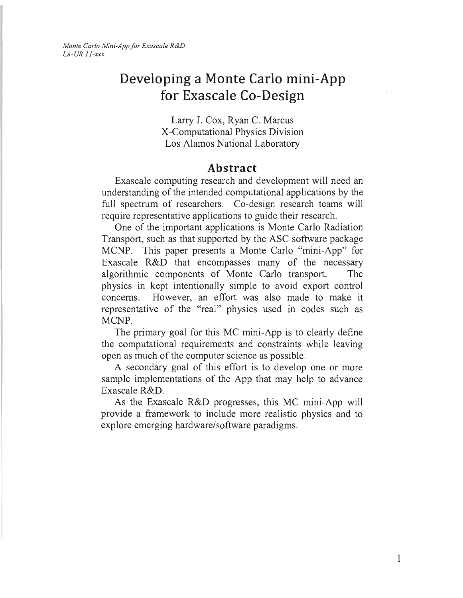*Monte Carlo Mini-App for Exascale R&D LA-UR ii-xxx* 

# **Developing a Monte Carlo mini-App for Exascale Co-Design**

Larry J. Cox, Ryan C. Marcus X-Computational Physics Division Los Alamos National Laboratory

#### **Abstract**

Exascale computing research and development will need an understanding of the intended computational applications by the full spectrum of researchers. Co-design research teams will require representative applications to guide their research.

One of the important applications is Monte Carlo Radiation Transport, such as that supported by the ASC software package MCNP. This paper presents a Monte Carlo "mini-App" for Exascale R&D that encompasses many of the necessary algorithmic components of Monte Carlo transport. The physics in kept intentionally simple to avoid export control concerns. However, an effort was also made to make it representative of the "real" physics used in codes such as MCNP.

The primary goal for this MC mini-App is to clearly define the computational requirements and constraints while leaving open as much of the computer science as possible.

A secondary goal of this effort is to develop one or more sample implementations of the App that may help to advance Exascale R&D.

As the Exascale R&D progresses, this MC mini-App will provide a framework to include more realistic physics and to explore emerging hardware/software paradigms.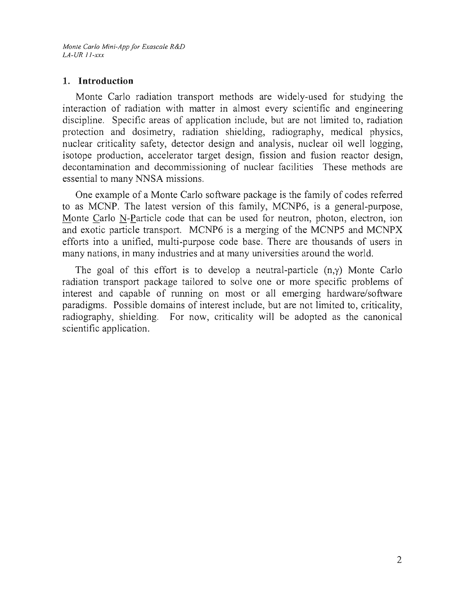### **1. Introduction**

Monte Carlo radiation transport methods are widely-used for studying the interaction of radiation with matter in almost every scientific and engineering discipline. Specific areas of application include, but are not limited to, radiation protection and dosimetry, radiation shielding, radiography, medical physics, nuclear criticality safety, detector design and analysis, nuclear oil well logging, isotope production, accelerator target design, fission and fusion reactor design, decontamination and decommissioning of nuclear facilities These methods are essential to many NNSA missions.

One example of a Monte Carlo software package is the family of codes referred to as MCNP. The latest version of this family, MCNP6, is a general-purpose, Monte Carlo N-Particle code that can be used for neutron, photon, electron, ion and exotic particle transport. MCNP6 is a merging of the MCNP5 and MCNPX efforts into a unified, multi-purpose code base. There are thousands of users in many nations, in many industries and at many universities around the world.

The goal of this effort is to develop a neutral-particle  $(n, \gamma)$  Monte Carlo radiation transport package tailored to solve one or more specific problems of interest and capable of running on most or all emerging hardware/software paradigms. Possible domains of interest include, but are not limited to, criticality, radiography, shielding. For now, criticality will be adopted as the canonical scientific application.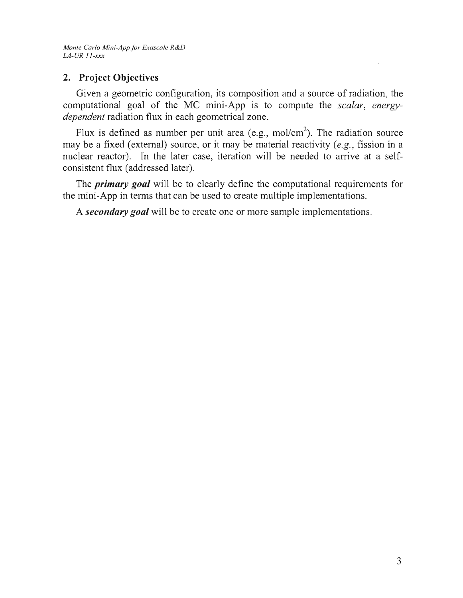*Monte Carlo Mini-App for Exascale R&D LA-UR II-xxx* 

# 2. Project Objectives

Given a geometric configuration, its composition and a source of radiation, the computational goal of the MC mini-App is to compute the *scalar*, *energydependent* radiation flux in each geometrical zone.

Flux is defined as number per unit area (e.g., mol/cm<sup>2</sup>). The radiation source may be a fixed (external) source, or it may be material reactivity *(e.g.,* fission in a nuclear reactor). In the later case, iteration will be needed to arrive at a selfconsistent flux (addressed later).

The *primary goal* will be to clearly define the computational requirements for the mini-App in terms that can be used to create multiple implementations.

A *secondary goal* will be to create one or more sample implementations.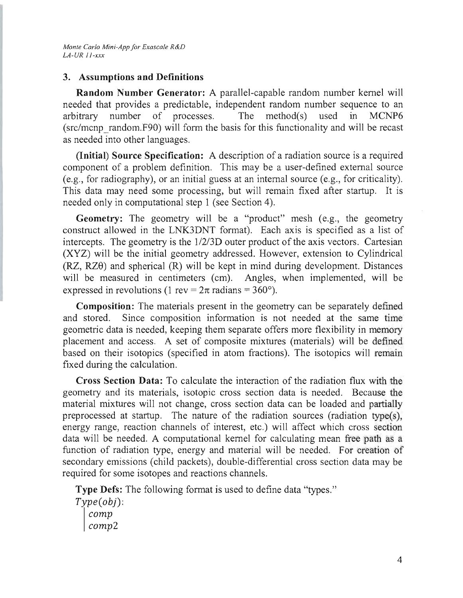# 3. Assumptions and Definitions

Random Number Generator: A parallel-capable random number kernel will needed that provides a predictable, independent random number sequence to an arbitrary number of processes. The method(s) used in MCNP6 (src/mcnp random.F90) will form the basis for this functionality and will be recast as needed into other languages.

(Initial) Source Specification: A description of a radiation source is a required component of a problem definition. This may be a user-defined external source (e.g., for radiography), or an initial guess at an internal source (e.g., for criticality). This data may need some processing, but will remain fixed after startup. It is needed only in computational step 1 (see Section 4).

Geometry: The geometry will be a "product" mesh (e.g., the geometry construct allowed in the LNK3DNT format). Each axis is specified as a list of intercepts. The geometry is the  $1/2/3D$  outer product of the axis vectors. Cartesian (XYZ) will be the initial geometry addressed. However, extension to Cylindrical  $(RZ, RZ\theta)$  and spherical  $(R)$  will be kept in mind during development. Distances will be measured in centimeters (cm). Angles, when implemented, will be expressed in revolutions (1 rev =  $2\pi$  radians =  $360^{\circ}$ ).

Composition: The materials present in the geometry can be separately defined and stored. Since composition information is not needed at the same time geometric data is needed, keeping them separate offers more flexibility in memory placement and access. A set of composite mixtures (materials) will be defined based on their isotopics (specified in atom fractions). The isotopics will remain fixed during the calculation.

Cross Section Data: To calculate the interaction of the radiation flux with the geometry and its materials, isotopic cross section data is needed. Because the material mixtures will not change, cross section data can be loaded and partially preprocessed at startup. The nature of the radiation sources (radiation type(s), energy range, reaction channels of interest, etc.) will affect which cross section data will be needed. A computational kernel for calculating mean free path as a function of radiation type, energy and material will be needed. For creation of secondary emissions (child packets), double-differential cross section data may be required for some isotopes and reactions channels.

Type Defs: The following format is used to define data "types."

*Type(obj): camp comp2*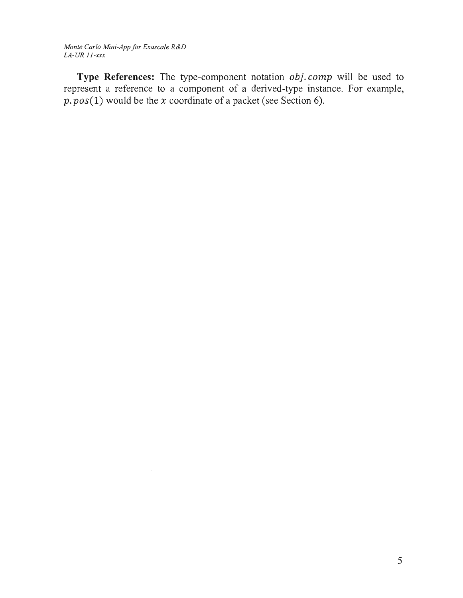*Monte Carlo Mini-App jar Exascale R&D LA-VR ii-xxx* 

**Type References:** The type-component notation *obi. comp* will be used to represent a reference to a component of a derived-type instance. For example, *p. pos(l)* would be the *x* coordinate of a packet (see Section 6).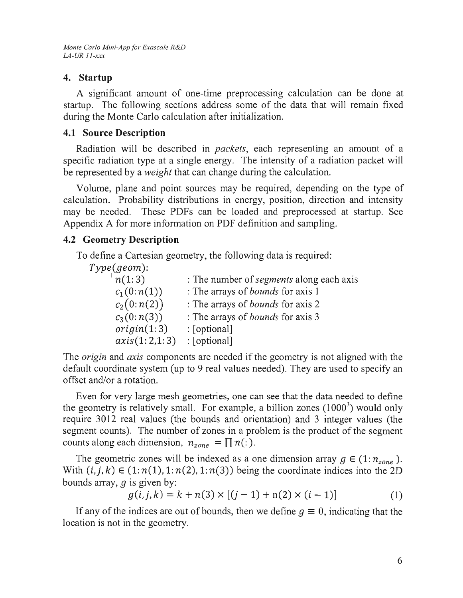*Monte Carlo Mini-App for Exascale R&D LA-UR 11-xxx* 

### **4. Startup**

A significant amount of one-time preprocessing calculation can be done at startup. The following sections address some of the data that will remain fixed during the Monte Carlo calculation after initialization.

# **4.1 Source Description**

Radiation will be described in *packets,* each representing an amount of a specific radiation type at a single energy. The intensity of a radiation packet will be represented by a *weight* that can change during the calculation.

Volume, plane and point sources may be required, depending on the type of calculation. Probability distributions in energy, position, direction and intensity may be needed. These PDFs can be loaded and preprocessed at startup. See Appendix A for more information on PDF definition and sampling.

# **4.2 Geometry Description**

To define a Cartesian geometry, the following data is required:

*Type(geom):* 

| n(1:3)        | : The number of <i>segments</i> along each axis |
|---------------|-------------------------------------------------|
| $c_1(0:n(1))$ | : The arrays of <i>bounds</i> for axis 1        |
| $c_2(0:n(2))$ | : The arrays of <i>bounds</i> for axis 2        |
| $c_3(0:n(3))$ | : The arrays of <i>bounds</i> for axis 3        |
| origin(1:3)   | : [optional]                                    |
| axis(1:2,1:3) | : [optional]                                    |

The *origin* and *axis* components are needed if the geometry is not aligned with the default coordinate system (up to 9 real values needed). They are used to specify an offset and/or a rotation.

Even for very large mesh geometries, one can see that the data needed to define the geometry is relatively small. For example, a billion zones  $(1000<sup>3</sup>)$  would only require 3012 real values (the bounds and orientation) and 3 integer values (the segment counts). The number of zones in a problem is the product of the segment counts along each dimension,  $n_{zone} = \prod n(:)$ .

The geometric zones will be indexed as a one dimension array  $g \in (1: n_{zone})$ . With  $(i, j, k) \in (1:n(1), 1:n(2), 1:n(3))$  being the coordinate indices into the 2D bounds array,  $q$  is given by:

$$
g(i, j, k) = k + n(3) \times [(j - 1) + n(2) \times (i - 1)] \tag{1}
$$

If any of the indices are out of bounds, then we define  $q \equiv 0$ , indicating that the location is not in the geometry.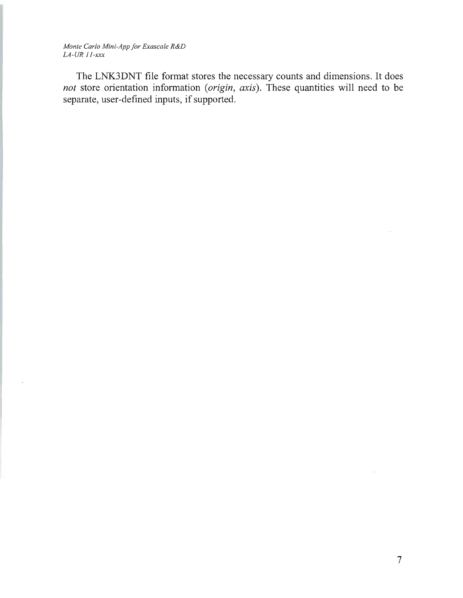*Monte Carlo Mini-App for Exascale R&D LA-UR ii-xxx* 

 $\overline{\phantom{a}}$ 

The LNK3DNT file format stores the necessary counts and dimensions. It does *not* store orientation information *(origin, axis).* These quantities will need to be separate, user-defined inputs, if supported.

 $\mathcal{A}^{\pm}$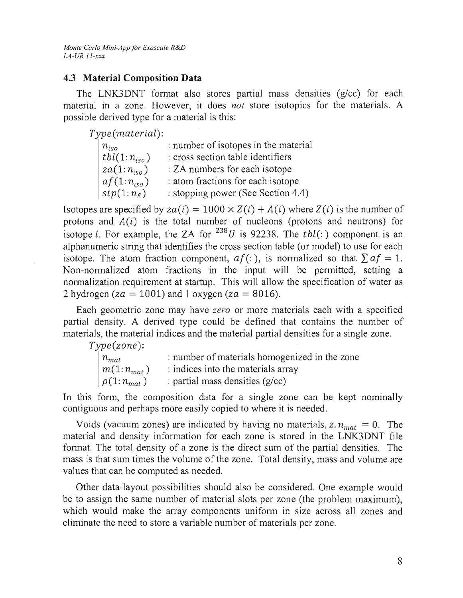# **4.3 Material Composition Data**

The LNK3DNT format also stores partial mass densities  $(g/cc)$  for each material in a zone. However, it does *not* store isotopics for the materials. A possible derived type for a material is this:

Type(material):

| $n_{iso}$              | : number of isotopes in the material |
|------------------------|--------------------------------------|
| $_+$ tbl $(1:n_{iso})$ | : cross section table identifiers    |
| $za(1:n_{iso})$        | : ZA numbers for each isotope        |
| $af(1:n_{iso})$        | : atom fractions for each isotope    |
| $ $ stp $(1:n_E)$      | : stopping power (See Section 4.4)   |

Isotopes are specified by  $za(i) = 1000 \times Z(i) + A(i)$  where  $Z(i)$  is the number of protons and  $A(i)$  is the total number of nucleons (protons and neutrons) for isotope *i*. For example, the ZA for <sup>238</sup>*U* is 92238. The *tbl(:)* component is an alphanumeric string that identifies the cross section table (or model) to use for each isotope. The atom fraction component,  $af($ :), is normalized so that  $\sum af = 1$ . Non-normalized atom fractions in the input will be permitted, setting a normalization requirement at startup. This will allow the specification of water as 2 hydrogen ( $z = 1001$ ) and 1 oxygen ( $z = 8016$ ).

Each geometric zone may have *zero* or more materials each with a specified partial density. A derived type could be defined that contains the number of materials, the material indices and the material partial densities for a single zone.

Type(zone):

| $n_{mat}$                      | : number of materials homogenized in the zone |
|--------------------------------|-----------------------------------------------|
| $\mid m(1:n_{mat})$            | : indices into the materials array            |
| $\left[\rho(1:n_{mat})\right]$ | : partial mass densities $(g/cc)$             |

In this form, the composition data for a single zone can be kept nominally contiguous and perhaps more easily copied to where it is needed.

Voids (vacuum zones) are indicated by having no materials,  $z \cdot n_{mat} = 0$ . The material and density information for each zone is stored in the LNK3DNT file format. The total density of a zone is the direct sum of the partial densities. The mass is that sum times the volume of the zone. Total density, mass and volume are values that can be computed as needed.

Other data-layout possibilities should also be considered. One example would be to assign the same number of material slots per zone (the problem maximum), which would make the array components uniform in size across all zones and eliminate the need to store a variable number of materials per zone.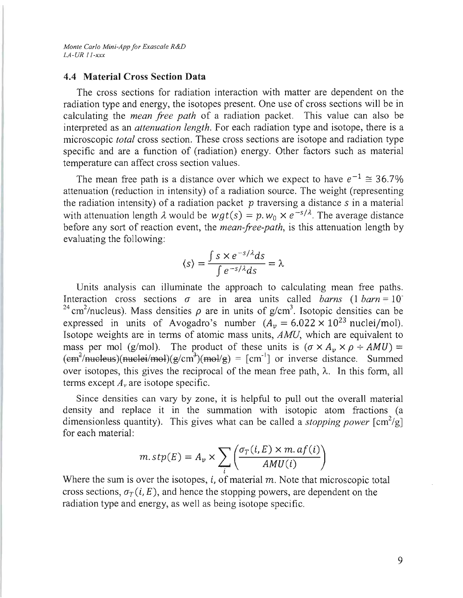#### **4.4 Material Cross Section Data**

The cross sections for radiation interaction with matter are dependent on the radiation type and energy, the isotopes present. One use of cross sections will be in calculating the *mean free path* of a radiation packet. This value can also be interpreted as an *attenuation length.* For each radiation type and isotope, there is a microscopic *total* cross section. These cross sections are isotope and radiation type specific and are a function of (radiation) energy. Other factors such as material temperature can affect cross section values.

The mean free path is a distance over which we expect to have  $e^{-1} \approx 36.7\%$ attenuation (reduction in intensity) of a radiation source. The weight (representing the radiation intensity) of a radiation packet  $p$  traversing a distance  $s$  in a material with attenuation length  $\lambda$  would be  $wgt(s) = p$ .  $w_0 \times e^{-s/\lambda}$ . The average distance before any sort of reaction event, the *mean-free-path,* is this attenuation length by evaluating the following:

$$
\langle s \rangle = \frac{\int s \times e^{-s/\lambda} ds}{\int e^{-s/\lambda} ds} = \lambda
$$

Units analysis can illuminate the approach to calculating mean free paths. Interaction cross sections  $\sigma$  are in area units called *barns* (1 *barn* = 10<sup>-</sup> <sup>24</sup> cm<sup>2</sup>/nucleus). Mass densities  $\rho$  are in units of g/cm<sup>3</sup>. Isotopic densities can be expressed in units of Avogadro's number  $(A_v = 6.022 \times 10^{23} \text{ nuclei/mol})$ . Isotope weights are in terms of atomic mass units, *AMU,* which are equivalent to mass per mol (g/mol). The product of these units is  $(\sigma \times A_n \times \rho \div AMU)$  =  $(\text{em}^2/\text{mucleus})(\text{nuclei/mol})(g/cm^3)(mol/g) = [cm^{-1}]$  or inverse distance. Summed over isotopes, this gives the reciprocal of the mean free path,  $\lambda$ . In this form, all terms except  $A<sub>v</sub>$  are isotope specific.

Since densities can vary by zone, it is helpful to pull out the overall material density and replace it in the summation with isotopic atom fractions (a dimensionless quantity). This gives what can be called a *stopping power*  $\lfloor \text{cm}^2/\text{g} \rfloor$ for each material:

$$
m.\,stp(E) = A_v \times \sum_{i} \left( \frac{\sigma_T(i, E) \times m.\,af(i)}{AMU(i)} \right)
$$

Where the sum is over the isotopes, i, of material  $m$ . Note that microscopic total cross sections,  $\sigma_r(i, E)$ , and hence the stopping powers, are dependent on the radiation type and energy, as well as being isotope specific.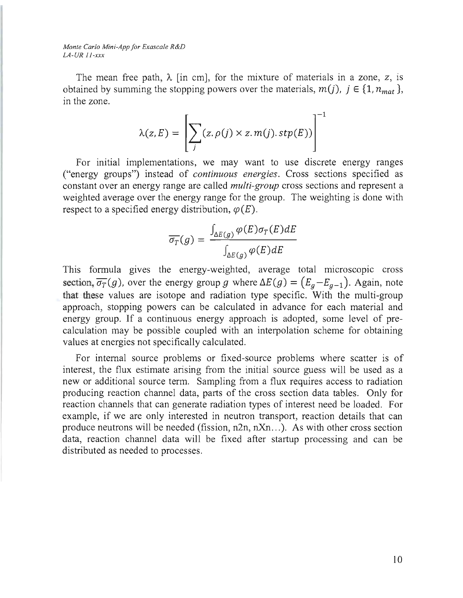*Monte Carlo Mini-App for Exascale R&D LA-UR ll-xxx* 

The mean free path,  $\lambda$  [in cm], for the mixture of materials in a zone, z, is obtained by summing the stopping powers over the materials,  $m(j)$ ,  $j \in \{1, n_{mat}\},$ in the zone.

$$
\lambda(z, E) = \left[ \sum_{j} (z, \rho(j) \times z.m(j).stp(E)) \right]^{-1}
$$

For initial implementations, we may want to use discrete energy ranges ("energy groups") instead of *continuous energies.* Cross sections specified as constant over an energy range are called *multi-group* cross sections and represent a weighted average over the energy range for the group. The weighting is done with respect to a specified energy distribution,  $\varphi(E)$ .

$$
\overline{\sigma_T}(g) = \frac{\int_{\Delta E(g)} \varphi(E) \sigma_T(E) dE}{\int_{\Delta E(g)} \varphi(E) dE}
$$

This formula gives the energy-weighted, average total microscopic cross section,  $\overline{\sigma_T}(g)$ , over the energy group g where  $\Delta E(g) = (E_g - E_{g-1})$ . Again, note that these values are isotope and radiation type specific. With the multi-group approach, stopping powers can be calculated in advance for each material and energy group. If a continuous energy approach is adopted, some level of precalculation may be possible coupled with an interpolation scheme for obtaining values at energies not specifically calculated.

For internal source problems or fixed-source problems where scatter is of interest, the flux estimate arising from the initial source guess will be used as a new or additional source term. Sampling from a flux requires access to radiation producing reaction channel data, parts of the cross section data tables. Only for reaction channels that can generate radiation types of interest need be loaded. For example, if we are only interested in neutron transport, reaction details that can produce neutrons will be needed (fission,  $n2n$ ,  $nXn$ ...). As with other cross section data, reaction channel data will be fixed after startup processing and can be distributed as needed to processes.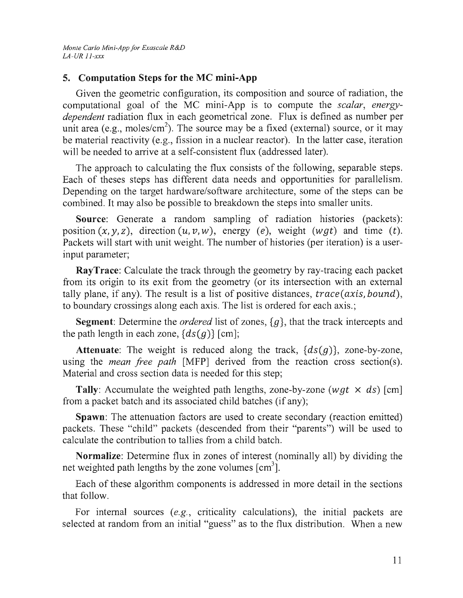# **5. Computation Steps for the MC mini-App**

Given the geometric configuration, its composition and source of radiation, the computational goal of the MC mini-App is to compute the *scalar, energydependent* radiation flux in each geometrical zone. Flux is defined as number per unit area (e.g., moles/cm<sup>2</sup>). The source may be a fixed (external) source, or it may be material reactivity (e.g., fission in a nuclear reactor). In the latter case, iteration will be needed to arrive at a self-consistent flux (addressed later).

The approach to calculating the flux consists of the following, separable steps. Each of theses steps has different data needs and opportunities for parallelism. Depending on the target hardware/software architecture, some of the steps can be combined. It may also be possible to breakdown the steps into smaller units.

**Source:** Generate a random sampling of radiation histories (packets): position  $(x, y, z)$ , direction  $(u, v, w)$ , energy (e), weight (wgt) and time (t). Packets will start with unit weight. The number of histories (per iteration) is a userinput parameter;

**RayTrace:** Calculate the track through the geometry by ray-tracing each packet from its origin to its exit from the geometry (or its intersection with an external tally plane, if any). The result is a list of positive distances,  $trace(axis, bound)$ , to boundary crossings along each axis. The list is ordered for each axis.;

**Segment:** Determine the *ordered* list of zones, *{g},* that the track intercepts and the path length in each zone,  $\{ds(g)\}\$ [cm];

**Attenuate:** The weight is reduced along the track,  $\{ds(g)\}\$ , zone-by-zone, using the *mean free path [NIFP]* derived from the reaction cross section(s). Material and cross section data is needed for this step;

**Tally:** Accumulate the weighted path lengths, zone-by-zone (wgt  $\times$  ds) [cm] from a packet batch and its associated child batches (if any);

**Spawn:** The attenuation factors are used to create secondary (reaction emitted) packets. These "child" packets (descended from their "parents") will be used to calculate the contribution to tallies from a child batch.

**Normalize:** Determine flux in zones of interest (nominally all) by dividing the net weighted path lengths by the zone volumes  $\lceil \text{cm}^3 \rceil$ .

Each of these algorithm components is addressed in more detail in the sections that follow.

For internal sources *(e.g.,* criticality calculations), the initial packets are selected at random from an initial "guess" as to the flux distribution. When a new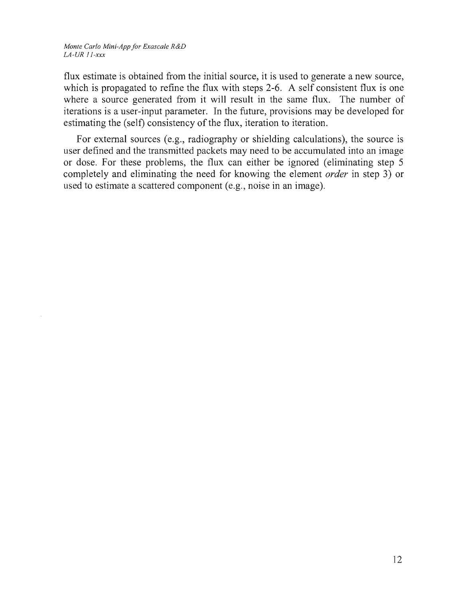*Monte Carlo Mini-App for Exascale R&D LA-UR ll-xxx* 

flux estimate is obtained from the initial source, it is used to generate a new source, which is propagated to refine the flux with steps 2-6. A self consistent flux is one where a source generated from it will result in the same flux. The number of iterations is a user-input parameter. In the future, provisions may be developed for estimating the (self) consistency of the flux, iteration to iteration.

For external sources (e.g., radiography or shielding calculations), the source is user defined and the transmitted packets may need to be accumulated into an image or dose. For these problems, the flux can either be ignored (eliminating step 5 completely and eliminating the need for knowing the element *order* in step 3) or used to estimate a scattered component (e.g., noise in an image).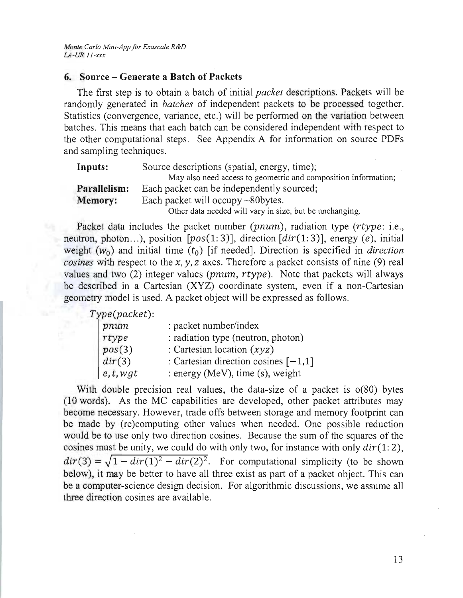### **6. Source - Generate a Batch of Packets**

The first step is to obtain a batch of initial *packet* descriptions. Packets will be randomly generated in *batches* of independent packets to be processed together. Statistics (convergence, variance, etc.) will be performed on the variation between batches. This means that each batch can be considered independent with respect to the other computational steps. See Appendix A for information on source PDFs and sampling techniques.

| Inputs:        | Source descriptions (spatial, energy, time);                   |
|----------------|----------------------------------------------------------------|
|                | May also need access to geometric and composition information; |
| Parallelism:   | Each packet can be independently sourced:                      |
| <b>Memory:</b> | Each packet will occupy $\sim$ 80 bytes.                       |
|                | Other data needed will vary in size, but be unchanging.        |

Packet data includes the packet number *(pnum)*, radiation type *(rtype:* i.e., neutron, photon ... ), position *[pos(1:* 3)], direction *[dir(l:* 3)], energy *(e),* initial weight  $(w_0)$  and initial time  $(t_0)$  [if needed]. Direction is specified in *direction cosines* with respect to the *x,* y, *z* axes. Therefore a packet consists of nine (9) real values and two (2) integer values *(pnum, rtype).* Note that packets will always be described in a Cartesian (XYZ) coordinate system, even if a non-Cartesian geometry model is used. A packet object will be expressed as follows.

*Type(packet):* 

| pnum      | : packet number/index                  |
|-----------|----------------------------------------|
| rtype     | : radiation type (neutron, photon)     |
| pos(3)    | : Cartesian location $(xyz)$           |
| dir(3)    | : Cartesian direction cosines $[-1,1]$ |
| e, t, wgt | : energy (MeV), time (s), weight       |

With double precision real values, the data-size of a packet is  $o(80)$  bytes (10 words). As the MC capabilities are developed, other packet attributes may become necessary. However, trade offs between storage and memory footprint can be made by (re)computing other values when needed. One possible reduction would be to use only two direction cosines. Because the sum of the squares of the cosines must be unity, we could do with only two, for instance with only *dir(l: 2),*   $dir(3) = \sqrt{1 - dir(1)^2 - dir(2)^2}$ . For computational simplicity (to be shown below), it may be better to have all three exist as part of a packet object. This can be a computer-science design decision. For algorithmic discussions, we assume all three direction cosines are available.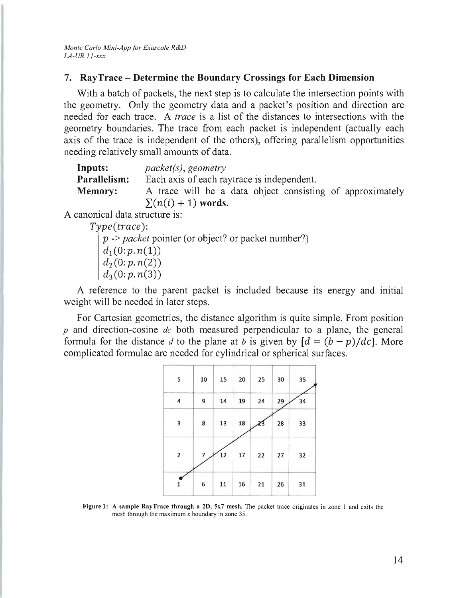#### **7. RayTrace - Determine the Boundary Crossings for Each Dimension**

With a batch of packets, the next step is to calculate the intersection points with the geometry. Only the geometry data and a packet's position and direction are needed for each trace. A *trace* is a list of the distances to intersections with the geometry boundaries. The trace from each packet is independent (actually each axis of the trace is independent of the others), offering parallelism opportunities needing relatively small amounts of data.

| Inputs:        | $packet(s)$ , geometry                                    |
|----------------|-----------------------------------------------------------|
| Parallelism:   | Each axis of each ray trace is independent.               |
| <b>Memory:</b> | A trace will be a data object consisting of approximately |
|                | $\sum (n(i) + 1)$ words.                                  |

A canonical data structure is:

 $Type(true)$ :

*p* -> *packet* pointer (or object? or packet number?)

 $d_1 (0:p.n(1))$  $d_2(0:p, n(2))$  $d_3(0; p, n(3))$ 

A reference to the parent packet is included because its energy and initial weight will be needed in later steps.

For Cartesian geometries, the distance algorithm is quite simple. From position *p* and direction-cosine *de* both measured perpendicular to a plane, the general formula for the distance *d* to the plane at *b* is given by  $[d = (b - p)/dc]$ . More complicated formulae are needed for cylindrical or spherical surfaces.

| 5            | 10 | 15 | 20 | 25 | 30 | 35 |
|--------------|----|----|----|----|----|----|
| 4            | 9  | 14 | 19 | 24 | 29 | 34 |
| 3            | 8  | 13 | 18 |    | 28 | 33 |
| $\mathbf{2}$ | 7  | 12 | 17 | 22 | 27 | 32 |
| ı            | 6  | 11 | 16 | 21 | 26 | 31 |

Figure 1: A sample RayTrace through a 2D, 5x7 mesh. The packet trace originates in zone I and exits the mesh through the maximum *x* boundary in zone 35.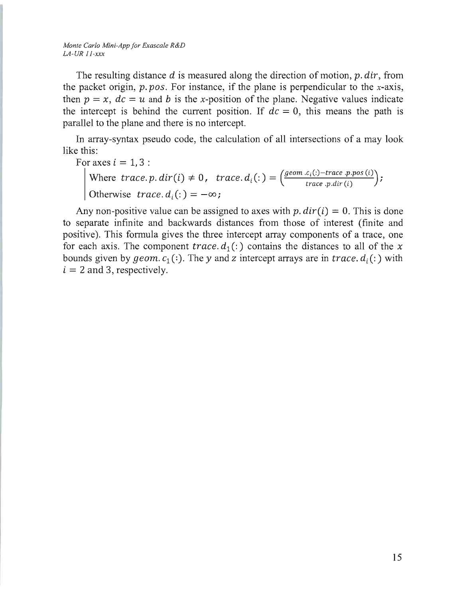*Monte Carlo Mini-App for Exascale R&D LA-UR II-xxx* 

The resulting distance *d* is measured along the direction of motion, *p. dir,* from the packet origin, *p. pas.* For instance, if the plane is perpendicular to the x-axis, then  $p = x$ ,  $dc = u$  and b is the x-position of the plane. Negative values indicate the intercept is behind the current position. If  $dc = 0$ , this means the path is parallel to the plane and there is no intercept.

In array-syntax pseudo code, the calculation of all intersections of a may look like this:

For axes  $i = 1, 3$ :

Where  $trace.p. dir(i) \neq 0$ ,  $trace.d_i(:)=\left(\frac{geom.c_i(:)-trace.p.pos(i)}{trace.p. dir(i)}\right);$ Otherwise  $trace. d_i(:) = -\infty;$ 

Any non-positive value can be assigned to axes with  $p$ ,  $dir(i) = 0$ . This is done to separate infinite and backwards distances from those of interest (finite and positive). This formula gives the three intercept array components of a trace, one for each axis. The component *trace.*  $d_1$  (:) contains the distances to all of the x bounds given by *geom.*  $c_1$  (:). The y and z intercept arrays are in *trace.*  $d_i$  (:) with  $i = 2$  and 3, respectively.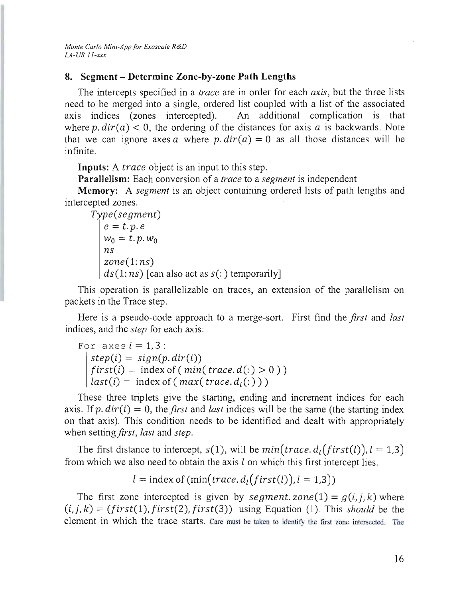# **8. Segment - Determine Zone-by-zone Path Lengths**

The intercepts specified in a *trace* are in order for each *axis,* but the three lists need to be merged into a single, ordered list coupled with a list of the associated axis indices (zones intercepted). An additional complication is that where  $p \cdot \text{dir}(a) < 0$ , the ordering of the distances for axis a is backwards. Note that we can ignore axes *a* where  $p \cdot dir(a) = 0$  as all those distances will be infinite.

**Inputs:** A *trace* object is an input to this step.

**Parallelism:** Each conversion of a *trace* to a *segment* is independent

**Memory:** A *segment* is an object containing ordered lists of path lengths and intercepted zones.

```
Type (segment) 
e=t.p.ew_0 = t, p, w_0ns 
zone(1: ns) 
ds(1: ns) [can also act as s(:) temporarily]
```
This operation is parallelizable on traces, an extension of the parallelism on packets in the Trace step.

Here is a pseudo-code approach to a merge-sort. First find the *first* and *last*  indices, and the *step* for each axis:

For axes  $i = 1, 3$ :  $step(i) = sign(p, dir(i))$  $first(i) = index of (min(trace.d(:) > 0))$  $last(i) = index of (max(trace.d_i(:)))$ 

These three triplets give the starting, ending and increment indices for each axis. If p.  $dir(i) = 0$ , the *first* and *last* indices will be the same (the starting index on that axis). This condition needs to be identified and dealt with appropriately when setting *first*, *last* and *step*.

The first distance to intercept,  $s(1)$ , will be  $min(trace, d_1(first(l)), l = 1,3)$ from which we also need to obtain the axis  $l$  on which this first intercept lies.

 $l =$  index of  $(\min(\text{trace}, d_i(\text{first}(l)), l = 1,3))$ 

The first zone intercepted is given by *segment. zone*(1) =  $g(i, j, k)$  where  $(i, j, k) = (first(1), first(2), first(3))$  using Equation (1). This *should* be the element in which the trace starts. Care must be taken to identify the first zone intersected. The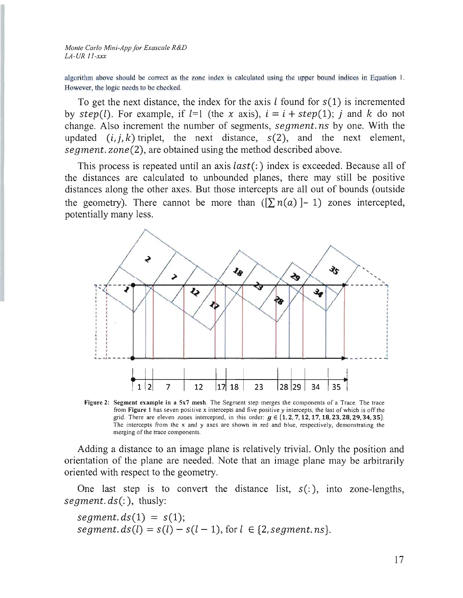*Monte Carlo Mini-App Jar Exascale R&D LA-UR II-xxx* 

algorithm above should be correct as the zone index is calculated using the upper bound indices in Equation 1. However, the logic needs to be checked.

To get the next distance, the index for the axis *l* found for *s(l)* is incremented by  $step(l)$ . For example, if  $l=1$  (the x axis),  $i = i + step(1)$ ; *j* and *k* do not change. Also increment the number of segments, *segment. ns* by one. With the updated  $(i, j, k)$  triplet, the next distance,  $s(2)$ , and the next element, *segment. zone(2),* are obtained using the method described above.

This process is repeated until an axis *last(:)* index is exceeded. Because all of the distances are calculated to unbounded planes, there may still be positive distances along the other axes. But those intercepts are all out of bounds (outside the geometry). There cannot be more than  $(\sum n(a) - 1)$  zones intercepted, potentially many less.



Figure 2: Segment example in a 5x7 mesh. The Segment step merges the components of a Trace. The trace from Figure 1 has seven positive x intercepts and five positive y intercepts, the last of which is off the grid. There are eleven zones intercepted, in this order:  $g \in \{1, 2, 7, 12, 17, 18, 23, 28, 29, 34, 35\}$ . The intercepts from the x and y axes are shown in red and blue, respectively, demonstrating the merging of the trace components.

Adding a distance to an image plane is relatively trivial. Only the position and orientation of the plane are needed. Note that an image plane may be arbitrarily oriented with respect to the geometry.

One last step is to convert the distance list,  $s($ ;  $)$ , into zone-lengths, *segment. ds(:),* thusly:

 $segment. ds(1) = s(1);$ *segment. ds(l)* =  $s(l) - s(l - 1)$ , for  $l \in \{2, segment, ns\}$ .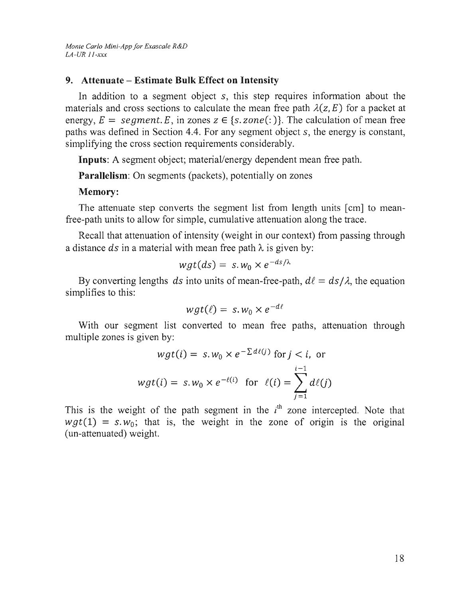# **9. Attenuate - Estimate Bulk Effect on Intensity**

In addition to a segment object s, this step requires information about the materials and cross sections to calculate the mean free path  $\lambda(z, E)$  for a packet at energy,  $E = segment E$ , in zones  $z \in \{s, zone(\cdot)\}\$ . The calculation of mean free paths was defmed in Section 4.4. For any segment object s, the energy is constant, simplifying the cross section requirements considerably.

**Inputs:** A segment object; material/energy dependent mean free path.

**Parallelism:** On segments (packets), potentially on zones

### **Memory:**

The attenuate step converts the segment list from length units [cm] to meanfree-path units to allow for simple, cumulative attenuation along the trace.

Recall that attenuation of intensity (weight in our context) from passing through a distance  $ds$  in a material with mean free path  $\lambda$  is given by:

$$
wgt(ds) = s.w_0 \times e^{-ds/\lambda}
$$

By converting lengths *ds* into units of mean-free-path,  $d\ell = ds/\lambda$ , the equation simplifies to this:

$$
wgt(\ell) = s. w_0 \times e^{-d\ell}
$$

With our segment list converted to mean free paths, attenuation through multiple zones is given by:

$$
wgt(i) = s.w_0 \times e^{-\sum d\ell(j)} \text{ for } j < i, \text{ or}
$$
\n
$$
wgt(i) = s.w_0 \times e^{-\ell(i)} \text{ for } \ell(i) = \sum_{j=1}^{i-1} d\ell(j)
$$

This is the weight of the path segment in the *i*<sup>th</sup> zone intercepted. Note that  $wgt(1) = s.w_0$ ; that is, the weight in the zone of origin is the original (un-attenuated) weight.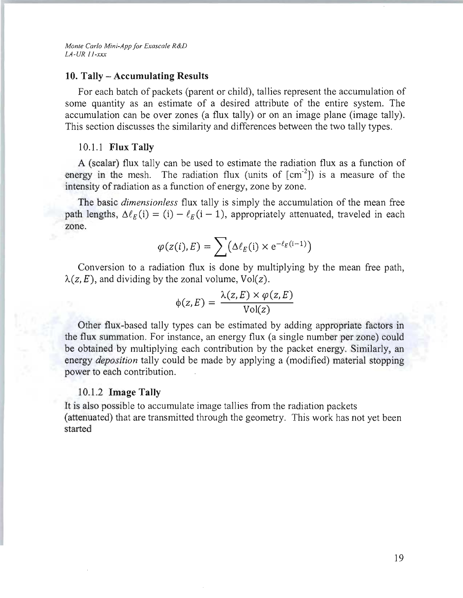*Monte Carlo Mini-App for Exascale R&D LA-UR Ii-xxx* 

#### **10. Tally - Accumulating Results**

For each batch of packets (parent or child), tallies represent the accumulation of some quantity as an estimate of a desired attribute of the entire system. The accumulation can be over zones (a flux tally) or on an image plane (image tally). This section discusses the similarity and differences between the two tally types.

#### 10.1.1 **Flux Tally**

A (scalar) flux tally can be used to estimate the radiation flux as a function of energy in the mesh. The radiation flux (units of  $\lfloor$  cm<sup>-2</sup> $\rfloor$ ) is a measure of the intensity of radiation as a function of energy, zone by zone.

The basic *dimensionless* flux tally is simply the accumulation of the mean free path lengths,  $\Delta \ell_E(i) = (i) - \ell_E(i - 1)$ , appropriately attenuated, traveled in each zone.

$$
\varphi(z(i),E) = \sum (\Delta \ell_E(i) \times e^{-\ell_E(i-1)})
$$

Conversion to a radiation flux is done by multiplying by the mean free path,  $\lambda(z, E)$ , and dividing by the zonal volume,  $Vol(z)$ .

$$
\phi(z, E) = \frac{\lambda(z, E) \times \varphi(z, E)}{\text{Vol}(z)}
$$

Other tlux-based tally types can be estimated by adding appropriate factors in the flux summation. For instance, an energy flux (a single number per zone) could be obtained by multiplying each contribution by the packet energy. Similarly, an energy *deposition* tally could be made by applying a (modified) material stopping power to each contribution.

#### 10.1 .2 **Image Tally**

It is also possible to accumulate image tallies from the radiation packets (attenuated) that are transmitted through the geometry. This work has not yet been started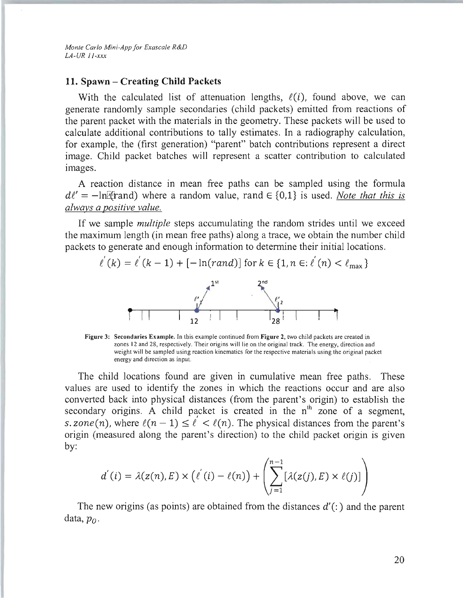*Monte Carlo Mini-App for Exascale R&D LA-UR ii-xxx* 

#### **11. Spawn - Creating Child Packets**

With the calculated list of attenuation lengths,  $\ell(i)$ , found above, we can generate randomly sample secondaries (child packets) emitted from reactions of the parent packet with the materials in the geometry. These packets will be used to calculate additional contributions to tally estimates. In a radiography calculation, for example, the (first generation) "parent" batch contributions represent a direct image. Child packet batches will represent a scatter contribution to calculated images.

A reaction distance in mean free paths can be sampled using the formula  $d\ell' = -\ln$ [Frand] where a random value, rand  $\in \{0,1\}$  is used. *Note that this is always a positive value.* 

If we sample *multiple* steps accumulating the random strides until we exceed the maximum length (in mean free paths) along a trace, we obtain the number child packets to generate and enough information to determine their initial locations.

$$
\ell^{'}(k) = \ell^{'}(k-1) + [-\ln(rand)] \text{ for } k \in \{1, n \in \ell^{'}(n) < \ell_{\max}\}
$$

Figure 3: Secondaries Example. In this example continued from Figure 2, two child packets are created in zones 12 and 28, respectively. Their origins will lie on the original track. The energy, direction and weight will be sampled using reaction kinematics for the respective materials using the original packet energy and direction as input.

The child locations found are given in cumulative mean free paths. These values are used to identify the zones in which the reactions occur and are also converted back into physical distances (from the parent's origin) to establish the secondary origins. A child packet is created in the  $n<sup>th</sup>$  zone of a segment, s. zone(n), where  $\ell(n - 1) \leq \ell' < \ell(n)$ . The physical distances from the parent's origin (measured along the parent's direction) to the child packet origin is given by:

$$
d'(i) = \lambda(z(n), E) \times (\ell'(i) - \ell(n)) + \left( \sum_{j=1}^{n-1} [\lambda(z(j), E) \times \ell(j)] \right)
$$

The new origins (as points) are obtained from the distances  $d'$  (:) and the parent data, *Po.*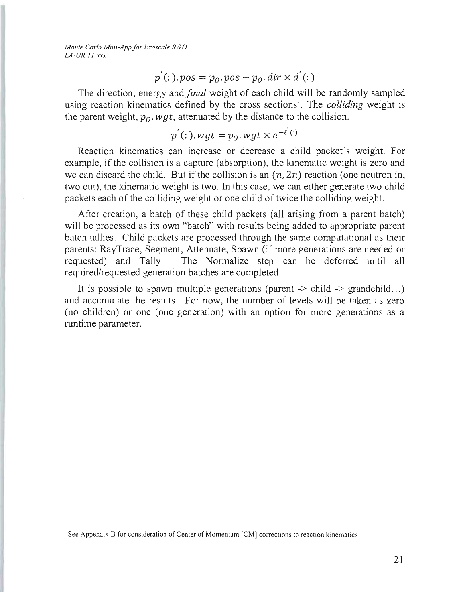*Monte Carlo Mini-App for Exascale R&D LA-UR 11-xxx* 

$$
p'(t) \cdot pos = p_0 \cdot pos + p_0 \cdot dir \times d'(t)
$$

The direction, energy and *final* weight of each child will be randomly sampled using reaction kinematics defined by the cross sections<sup>1</sup>. The *colliding* weight is the parent weight,  $p_0$ , wgt, attenuated by the distance to the collision.

$$
p^{'}(:).wgt = p_0.wgt \times e^{-\ell^{'}(:)}
$$

Reaction kinematics can increase or decrease a child packet's weight. For example, if the collision is a capture (absorption), the kinematic weight is zero and we can discard the child. But if the collision is an  $(n, 2n)$  reaction (one neutron in, two out), the kinematic weight is two. In this case, we can either generate two child packets each of the colliding weight or one child of twice the colliding weight.

After creation, a batch of these child packets (all arising from a parent batch) will be processed as its own "batch" with results being added to appropriate parent batch tallies. Child packets are processed through the same computational as their parents: RayTrace, Segment, Attenuate, Spawn (if more generations are needed or requested) and Tally. The Normalize step can be deferred until all required/requested generation batches are completed.

It is possible to spawn multiple generations (parent  $\rightarrow$  child  $\rightarrow$  grandchild...) and accumulate the results. For now, the number of levels will be taken as zero (no children) or one (one generation) with an option for more generations as a runtime parameter.

 $<sup>1</sup>$  See Appendix B for consideration of Center of Momentum [CM] corrections to reaction kinematics</sup>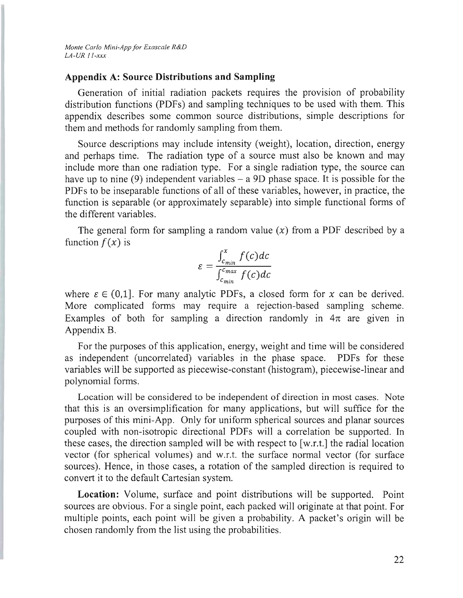*Monte Carlo Mini-App for Exascale R&D LA-UR 11-xxx* 

#### **Appendix A: Source Distributions and Sampling**

Generation of initial radiation packets requires the provision of probability distribution functions (PDFs) and sampling techniques to be used with them. This appendix describes some common source distributions, simple descriptions for them and methods for randomly sampling from them.

Source descriptions may include intensity (weight), location, direction, energy and perhaps time. The radiation type of a source must also be known and may include more than one radiation type. For a single radiation type, the source can have up to nine (9) independent variables  $-$  a 9D phase space. It is possible for the PDFs to be inseparable functions of all of these variables, however, in practice, the function is separable (or approximately separable) into simple functional forms of the different variables.

The general form for sampling a random value  $(x)$  from a PDF described by a function  $f(x)$  is

$$
\varepsilon = \frac{\int_{c_{min}}^{x} f(c)dc}{\int_{c_{min}}^{c_{max}} f(c)dc}
$$

where  $\varepsilon \in (0,1]$ . For many analytic PDFs, a closed form for x can be derived. More complicated forms may require a rejection-based sampling scheme. Examples of both for sampling a direction randomly in  $4\pi$  are given in Appendix B.

For the purposes of this application, energy, weight and time will be considered as independent (uncorrelated) variables in the phase space. PDFs for these variables wil1 be supported as piecewise-constant (histogram), piecewise-linear and polynomial forms.

Location will be considered to be independent of direction in most cases. Note that this is an oversimplification for many applications, but will suffice for the purposes of this mini-App. Only for uniform spherical sources and planar sources coupled with non-isotropic directional PDFs will a correlation be supported. In these cases, the direction sampled will be with respect to [w.r.t.] the radial location vector (for spherical volumes) and w.r.t. the surface normal vector (for surface sources). Hence, in those cases, a rotation of the sampled direction is required to convert it to the default Cartesian system.

**Location:** Volume, surface and point distributions will be supported. Point sources are obvious. For a single point, each packed will originate at that point. For multiple points, each point will be given a probability. A packet's origin will be chosen randomly from the list using the probabilities.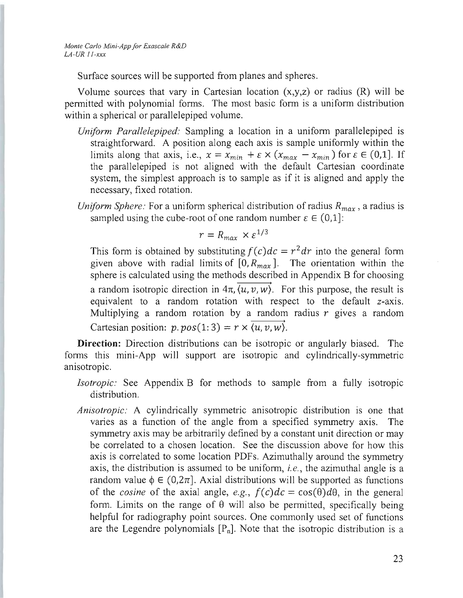*Monte Carlo Mini-App for Exascale R&D LA-UR If-xxx* 

Surface sources will be supported from planes and spheres.

Volume sources that vary in Cartesian location  $(x,y,z)$  or radius  $(R)$  will be permitted with polynomial forms. The most basic form is a uniform distribution within a spherical or parallelepiped volume.

- *Uniform Parallelepiped:* Sampling a location in a uniform parallelepiped is straightforward. A position along each axis is sample uniformly within the limits along that axis, i.e.,  $x = x_{min} + \varepsilon \times (x_{max} - x_{min})$  for  $\varepsilon \in (0,1]$ . If the parallelepiped is not aligned with the default Cartesian coordinate system, the simplest approach is to sample as if it is aligned and apply the necessary, fixed rotation.
- *Uniform Sphere:* For a uniform spherical distribution of radius  $R_{max}$ , a radius is sampled using the cube-root of one random number  $\varepsilon \in (0,1]$ :

$$
r = R_{max} \times \varepsilon^{1/3}
$$

This form is obtained by substituting  $f(c)dc = r^2 dr$  into the general form given above with radial limits of  $[0, R_{max}]$ . The orientation within the sphere is calculated using the methods described in Appendix B for choosing a random isotropic direction in  $4\pi$ ,  $\overline{\langle u, v, w \rangle}$ . For this purpose, the result is equivalent to a random rotation with respect to the default z-axis. Multiplying a random rotation by a random radius  $r$  gives a random Cartesian position:  $p. pos(1:3) = r \times \overrightarrow{\langle u, v, w \rangle}$ .

**Direction:** Direction distributions can be isotropic or angularly biased. The forms this mini-App will support are isotropic and cylindrically-symmetric anisotropic.

- *Isotropic:* See Appendix B for methods to sample from a fully isotropic distribution.
- *Anisotropic:* A cylindrically symmetric anisotropic distribution is one that varies as a function of the angle from a specified symmetry axis. The symmetry axis may be arbitrarily defined by a constant unit direction or may be correlated to a chosen location. See the discussion above for how this axis is correlated to some location PDFs. Azimuthally around the symmetry axis, the distribution is assumed to be uniform, i. *e.,* the azimuthal angle is a random value  $\phi \in (0,2\pi]$ . Axial distributions will be supported as functions of the *cosine* of the axial angle, *e.g.,*  $f(c)dc = \cos(\theta)d\theta$ , in the general form. Limits on the range of  $\theta$  will also be permitted, specifically being helpful for radiography point sources. One commonly used set of functions are the Legendre polynomials  $[P_n]$ . Note that the isotropic distribution is a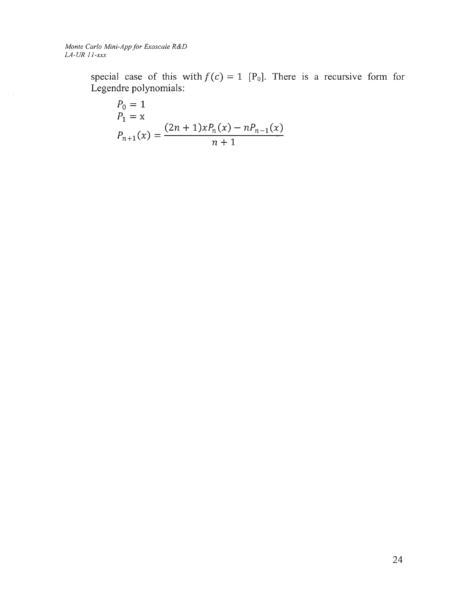*Monte Carlo Mini-App for Exascale R&D LA-UR II-xxx* 

 $\sim 10^7$ 

special case of this with  $f(c) = 1$  [P<sub>0</sub>]. There is a recursive form for Legendre polynomials:

$$
P_0 = 1
$$
  
\n
$$
P_1 = x
$$
  
\n
$$
P_{n+1}(x) = \frac{(2n+1)xP_n(x) - nP_{n-1}(x)}{n+1}
$$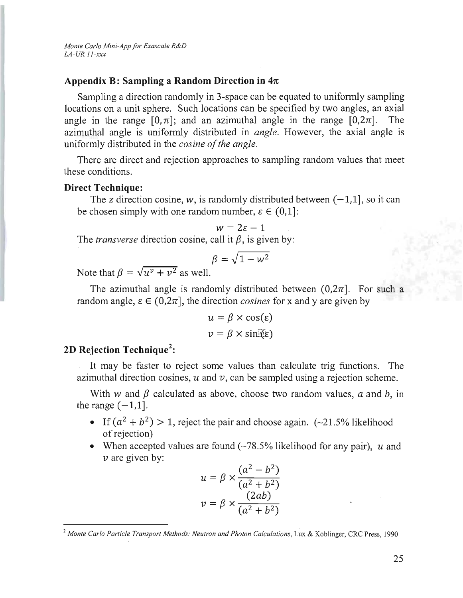*Monte Carlo Mini-App for Exascale R&D LA-UR 11-xxx* 

#### **Appendix B: Sampling a Random Direction in**  $4\pi$

Sampling a direction randomly in 3-space can be equated to uniformly sampling locations on a unit sphere. Such locations can be specified by two angles, an axial angle in the range  $[0, \pi]$ ; and an azimuthal angle in the range  $[0, 2\pi]$ . The azimuthal angle is uniformly distributed in *angle*. However, the axial angle is uniformly distributed in the *cosine of the angle.* 

There are direct and rejection approaches to sampling random values that meet these conditions.

#### **Direct Technique:**

The *z* direction cosine, w, is randomly distributed between  $(-1, 1]$ , so it can be chosen simply with one random number,  $\epsilon \in (0,1]$ :

$$
w = 2\varepsilon - 1
$$

The *transverse* direction cosine, call it  $\beta$ , is given by:

$$
\beta = \sqrt{1 - w^2}
$$

Note that  $\beta = \sqrt{u^{\nu} + v^2}$  as well.

The azimuthal angle is randomly distributed between  $(0.2\pi)$ . For such a random angle,  $\epsilon \in (0, 2\pi]$ , the direction *cosines* for x and y are given by

$$
u = \beta \times \cos(\varepsilon)
$$
  

$$
v = \beta \times \sin(\varepsilon)
$$

# **2D Rejection Technique<sup>2</sup> :**

It may be faster to reject some values than calculate trig functions. The azimuthal direction cosines, *u* and *v,* can be sampled using a rejection scheme.

With w and  $\beta$  calculated as above, choose two random values, a and b, in the range  $(-1, 1]$ .

- If  $(a^2 + b^2) > 1$ , reject the pair and choose again. (~21.5% likelihood of rejection)
- When accepted values are found (~78.5% likelihood for any pair), *u* and  $\nu$  are given by:

$$
u = \beta \times \frac{(a^2 - b^2)}{(a^2 + b^2)}
$$

$$
v = \beta \times \frac{(2ab)}{(a^2 + b^2)}
$$

<sup>&</sup>lt;sup>2</sup> Monte Carlo Particle Transport Methods: Neutron and Photon Calculations, Lux & Koblinger, CRC Press, 1990